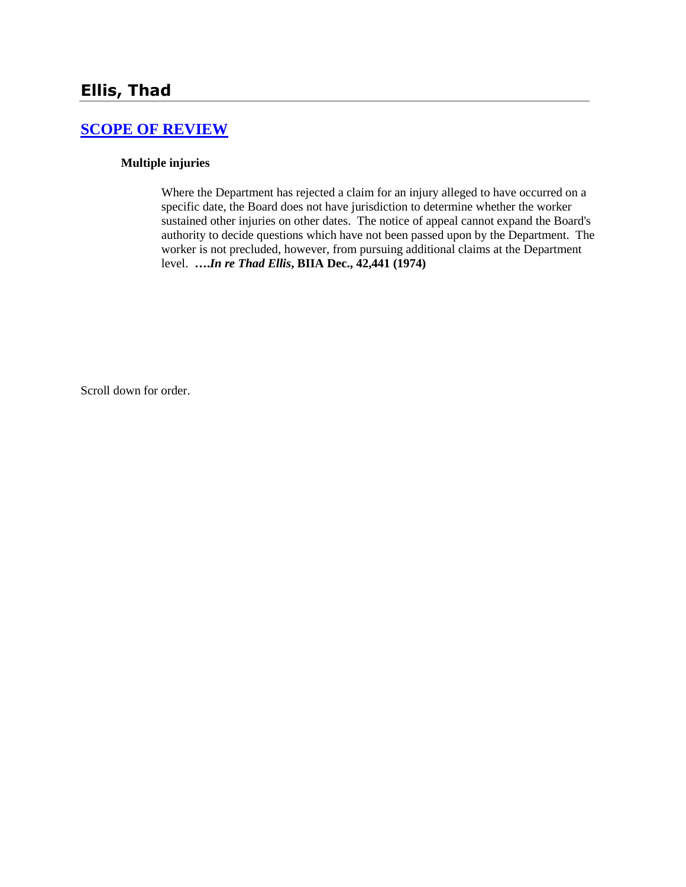## **[SCOPE OF REVIEW](http://www.biia.wa.gov/SDSubjectIndex.html#SCOPE_OF_REVIEW)**

#### **Multiple injuries**

Where the Department has rejected a claim for an injury alleged to have occurred on a specific date, the Board does not have jurisdiction to determine whether the worker sustained other injuries on other dates.The notice of appeal cannot expand the Board's authority to decide questions which have not been passed upon by the Department. The worker is not precluded, however, from pursuing additional claims at the Department level. **….***In re Thad Ellis***, BIIA Dec., 42,441 (1974)** 

Scroll down for order.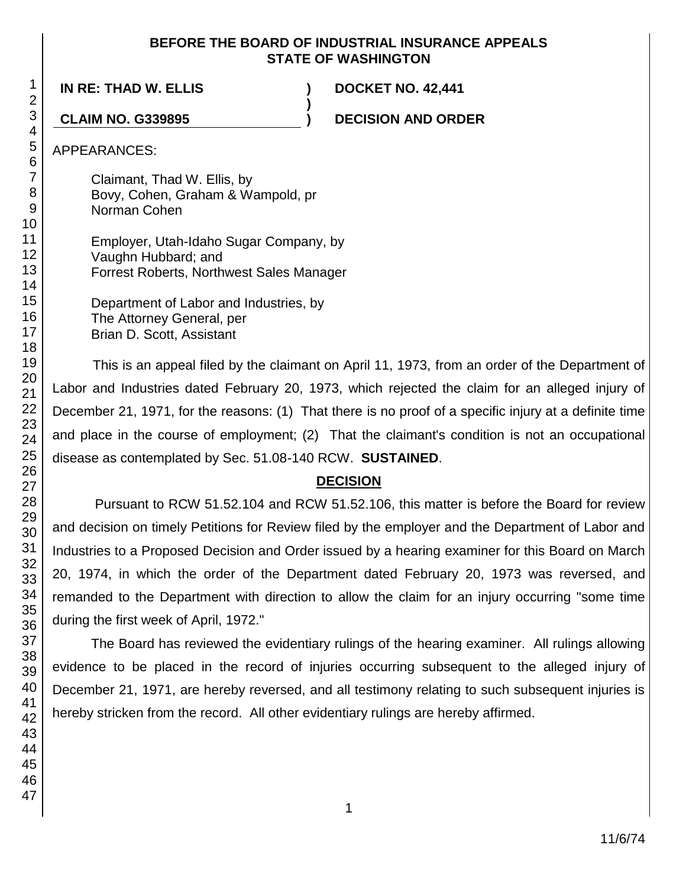### **BEFORE THE BOARD OF INDUSTRIAL INSURANCE APPEALS STATE OF WASHINGTON**

**)**

**IN RE: THAD W. ELLIS ) DOCKET NO. 42,441**

**CLAIM NO. G339895 ) DECISION AND ORDER**

APPEARANCES:

Claimant, Thad W. Ellis, by Bovy, Cohen, Graham & Wampold, pr Norman Cohen

Employer, Utah-Idaho Sugar Company, by Vaughn Hubbard; and Forrest Roberts, Northwest Sales Manager

Department of Labor and Industries, by The Attorney General, per Brian D. Scott, Assistant

This is an appeal filed by the claimant on April 11, 1973, from an order of the Department of Labor and Industries dated February 20, 1973, which rejected the claim for an alleged injury of December 21, 1971, for the reasons: (1) That there is no proof of a specific injury at a definite time and place in the course of employment; (2) That the claimant's condition is not an occupational disease as contemplated by Sec. 51.08-140 RCW. **SUSTAINED**.

# **DECISION**

Pursuant to RCW 51.52.104 and RCW 51.52.106, this matter is before the Board for review and decision on timely Petitions for Review filed by the employer and the Department of Labor and Industries to a Proposed Decision and Order issued by a hearing examiner for this Board on March 20, 1974, in which the order of the Department dated February 20, 1973 was reversed, and remanded to the Department with direction to allow the claim for an injury occurring "some time during the first week of April, 1972."

The Board has reviewed the evidentiary rulings of the hearing examiner. All rulings allowing evidence to be placed in the record of injuries occurring subsequent to the alleged injury of December 21, 1971, are hereby reversed, and all testimony relating to such subsequent injuries is hereby stricken from the record. All other evidentiary rulings are hereby affirmed.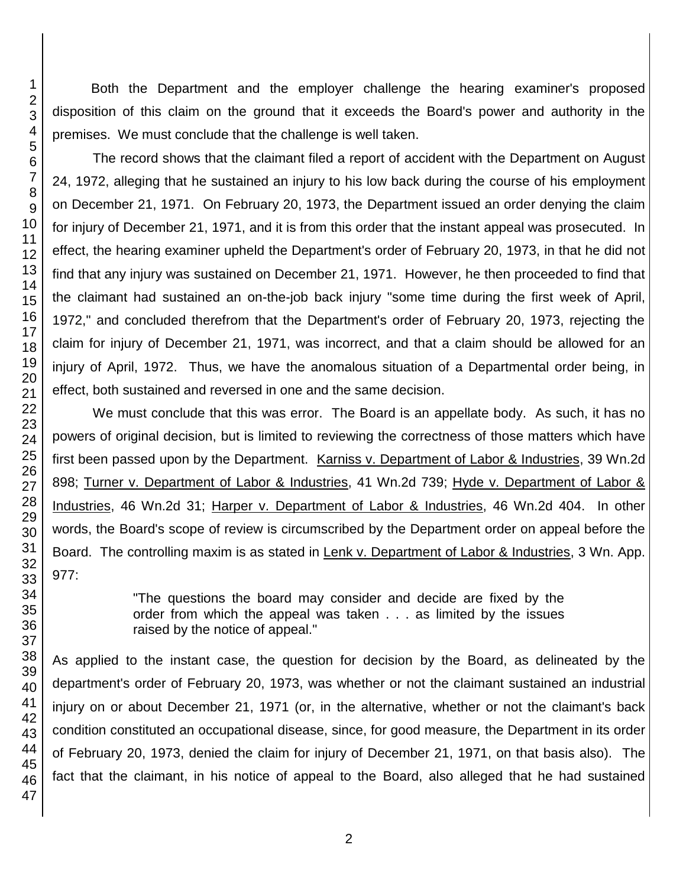Both the Department and the employer challenge the hearing examiner's proposed disposition of this claim on the ground that it exceeds the Board's power and authority in the premises. We must conclude that the challenge is well taken.

The record shows that the claimant filed a report of accident with the Department on August 24, 1972, alleging that he sustained an injury to his low back during the course of his employment on December 21, 1971. On February 20, 1973, the Department issued an order denying the claim for injury of December 21, 1971, and it is from this order that the instant appeal was prosecuted. In effect, the hearing examiner upheld the Department's order of February 20, 1973, in that he did not find that any injury was sustained on December 21, 1971. However, he then proceeded to find that the claimant had sustained an on-the-job back injury "some time during the first week of April, 1972," and concluded therefrom that the Department's order of February 20, 1973, rejecting the claim for injury of December 21, 1971, was incorrect, and that a claim should be allowed for an injury of April, 1972. Thus, we have the anomalous situation of a Departmental order being, in effect, both sustained and reversed in one and the same decision.

We must conclude that this was error. The Board is an appellate body. As such, it has no powers of original decision, but is limited to reviewing the correctness of those matters which have first been passed upon by the Department. Karniss v. Department of Labor & Industries, 39 Wn.2d 898; Turner v. Department of Labor & Industries, 41 Wn.2d 739; Hyde v. Department of Labor & Industries, 46 Wn.2d 31; Harper v. Department of Labor & Industries, 46 Wn.2d 404. In other words, the Board's scope of review is circumscribed by the Department order on appeal before the Board. The controlling maxim is as stated in Lenk v. Department of Labor & Industries, 3 Wn. App. 977:

> "The questions the board may consider and decide are fixed by the order from which the appeal was taken . . . as limited by the issues raised by the notice of appeal."

As applied to the instant case, the question for decision by the Board, as delineated by the department's order of February 20, 1973, was whether or not the claimant sustained an industrial injury on or about December 21, 1971 (or, in the alternative, whether or not the claimant's back condition constituted an occupational disease, since, for good measure, the Department in its order of February 20, 1973, denied the claim for injury of December 21, 1971, on that basis also). The fact that the claimant, in his notice of appeal to the Board, also alleged that he had sustained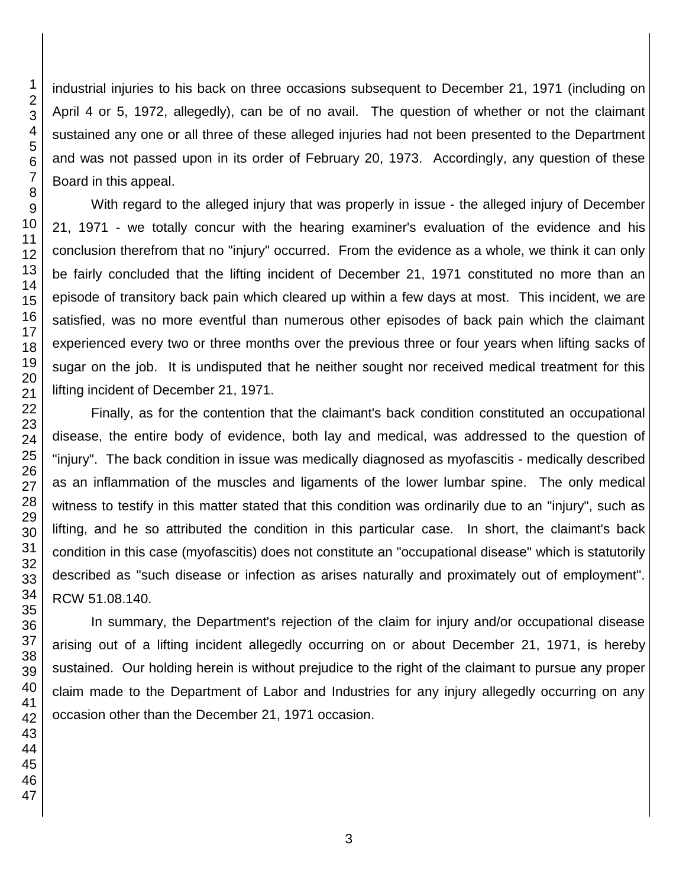industrial injuries to his back on three occasions subsequent to December 21, 1971 (including on April 4 or 5, 1972, allegedly), can be of no avail. The question of whether or not the claimant sustained any one or all three of these alleged injuries had not been presented to the Department and was not passed upon in its order of February 20, 1973. Accordingly, any question of these Board in this appeal.

With regard to the alleged injury that was properly in issue - the alleged injury of December 21, 1971 - we totally concur with the hearing examiner's evaluation of the evidence and his conclusion therefrom that no "injury" occurred. From the evidence as a whole, we think it can only be fairly concluded that the lifting incident of December 21, 1971 constituted no more than an episode of transitory back pain which cleared up within a few days at most. This incident, we are satisfied, was no more eventful than numerous other episodes of back pain which the claimant experienced every two or three months over the previous three or four years when lifting sacks of sugar on the job. It is undisputed that he neither sought nor received medical treatment for this lifting incident of December 21, 1971.

Finally, as for the contention that the claimant's back condition constituted an occupational disease, the entire body of evidence, both lay and medical, was addressed to the question of "injury". The back condition in issue was medically diagnosed as myofascitis - medically described as an inflammation of the muscles and ligaments of the lower lumbar spine. The only medical witness to testify in this matter stated that this condition was ordinarily due to an "injury", such as lifting, and he so attributed the condition in this particular case. In short, the claimant's back condition in this case (myofascitis) does not constitute an "occupational disease" which is statutorily described as "such disease or infection as arises naturally and proximately out of employment". RCW 51.08.140.

In summary, the Department's rejection of the claim for injury and/or occupational disease arising out of a lifting incident allegedly occurring on or about December 21, 1971, is hereby sustained. Our holding herein is without prejudice to the right of the claimant to pursue any proper claim made to the Department of Labor and Industries for any injury allegedly occurring on any occasion other than the December 21, 1971 occasion.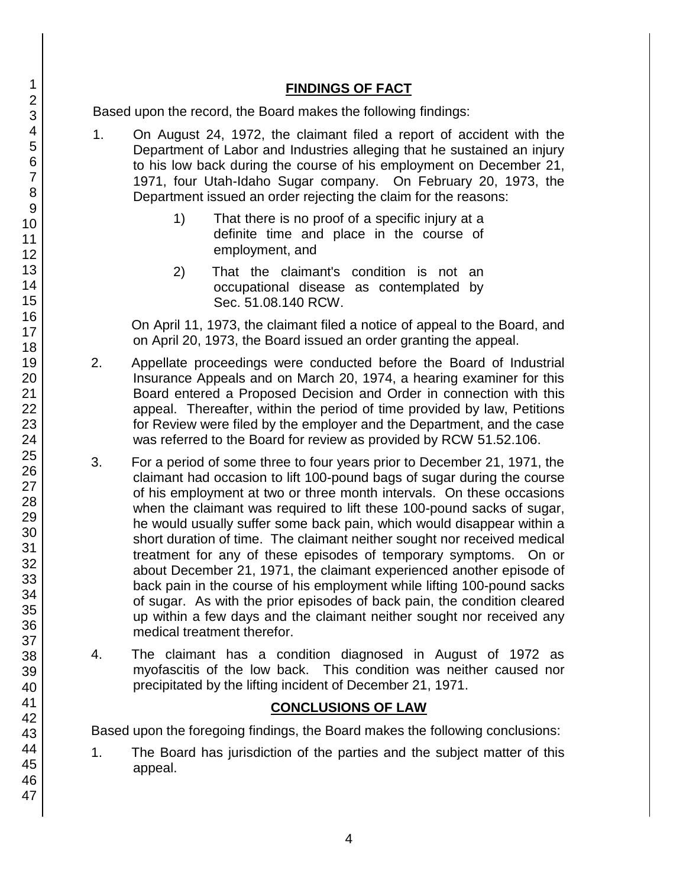## **FINDINGS OF FACT**

Based upon the record, the Board makes the following findings:

- 1. On August 24, 1972, the claimant filed a report of accident with the Department of Labor and Industries alleging that he sustained an injury to his low back during the course of his employment on December 21, 1971, four Utah-Idaho Sugar company. On February 20, 1973, the Department issued an order rejecting the claim for the reasons:
	- 1) That there is no proof of a specific injury at a definite time and place in the course of employment, and
	- 2) That the claimant's condition is not an occupational disease as contemplated by Sec. 51.08.140 RCW.

On April 11, 1973, the claimant filed a notice of appeal to the Board, and on April 20, 1973, the Board issued an order granting the appeal.

- 2. Appellate proceedings were conducted before the Board of Industrial Insurance Appeals and on March 20, 1974, a hearing examiner for this Board entered a Proposed Decision and Order in connection with this appeal. Thereafter, within the period of time provided by law, Petitions for Review were filed by the employer and the Department, and the case was referred to the Board for review as provided by RCW 51.52.106.
- 3. For a period of some three to four years prior to December 21, 1971, the claimant had occasion to lift 100-pound bags of sugar during the course of his employment at two or three month intervals. On these occasions when the claimant was required to lift these 100-pound sacks of sugar, he would usually suffer some back pain, which would disappear within a short duration of time. The claimant neither sought nor received medical treatment for any of these episodes of temporary symptoms. On or about December 21, 1971, the claimant experienced another episode of back pain in the course of his employment while lifting 100-pound sacks of sugar. As with the prior episodes of back pain, the condition cleared up within a few days and the claimant neither sought nor received any medical treatment therefor.
- 4. The claimant has a condition diagnosed in August of 1972 as myofascitis of the low back. This condition was neither caused nor precipitated by the lifting incident of December 21, 1971.

## **CONCLUSIONS OF LAW**

Based upon the foregoing findings, the Board makes the following conclusions:

1. The Board has jurisdiction of the parties and the subject matter of this appeal.